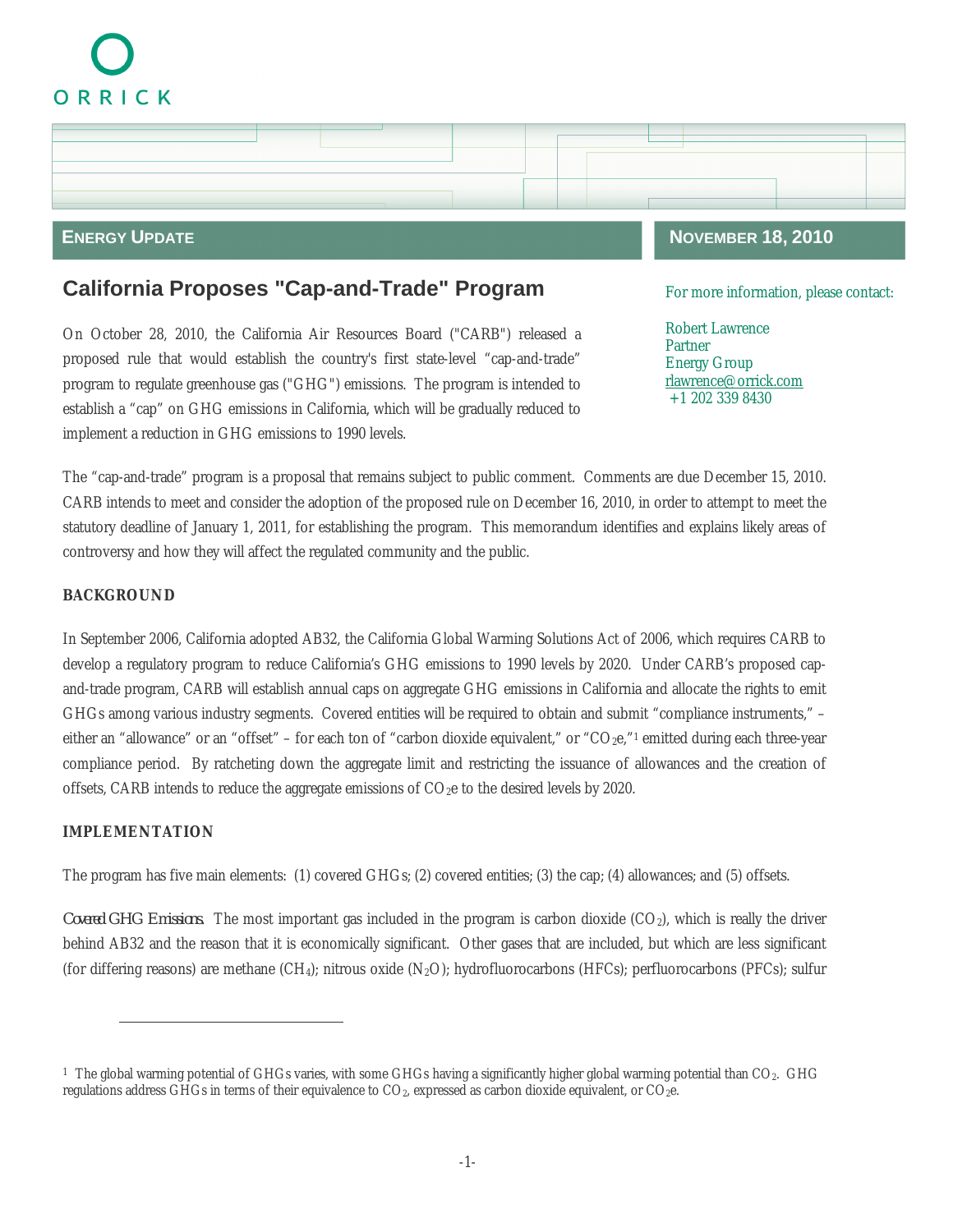# ORRICK



# **California Proposes "Cap-and-Trade" Program**

On October 28, 2010, the California Air Resources Board ("CARB") released a proposed rule that would establish the country's first state-level "cap-and-trade" program to regulate greenhouse gas ("GHG") emissions. The program is intended to establish a "cap" on GHG emissions in California, which will be gradually reduced to implement a reduction in GHG emissions to 1990 levels.

For more information, please contact:

Robert Lawrence Partner Energy Group rlawrence@orrick.com +1 202 339 8430

The "cap-and-trade" program is a proposal that remains subject to public comment. Comments are due December 15, 2010. CARB intends to meet and consider the adoption of the proposed rule on December 16, 2010, in order to attempt to meet the statutory deadline of January 1, 2011, for establishing the program. This memorandum identifies and explains likely areas of controversy and how they will affect the regulated community and the public.

## **BACKGROUND**

In September 2006, California adopted AB32, the California Global Warming Solutions Act of 2006, which requires CARB to develop a regulatory program to reduce California's GHG emissions to 1990 levels by 2020. Under CARB's proposed capand-trade program, CARB will establish annual caps on aggregate GHG emissions in California and allocate the rights to emit GHGs among various industry segments. Covered entities will be required to obtain and submit "compliance instruments," – either an "allowance" or an "offset" – for each ton of "carbon dioxide equivalent," or "CO<sub>2</sub>e,"<sup>1</sup> emitted during each three-year compliance period. By ratcheting down the aggregate limit and restricting the issuance of allowances and the creation of offsets, CARB intends to reduce the aggregate emissions of  $CO<sub>2</sub>e$  to the desired levels by 2020.

# **IMPLEMENTATION**

The program has five main elements: (1) covered GHGs; (2) covered entities; (3) the cap; (4) allowances; and (5) offsets.

Covered GHG Emissions. The most important gas included in the program is carbon dioxide (CO<sub>2</sub>), which is really the driver behind AB32 and the reason that it is economically significant. Other gases that are included, but which are less significant (for differing reasons) are methane  $(CH_4)$ ; nitrous oxide  $(N_2O)$ ; hydrofluorocarbons (HFCs); perfluorocarbons (PFCs); sulfur

<sup>&</sup>lt;sup>1</sup> The global warming potential of GHGs varies, with some GHGs having a significantly higher global warming potential than CO<sub>2</sub>. GHG regulations address GHGs in terms of their equivalence to CO<sub>2</sub>, expressed as carbon dioxide equivalent, or CO<sub>2</sub>e.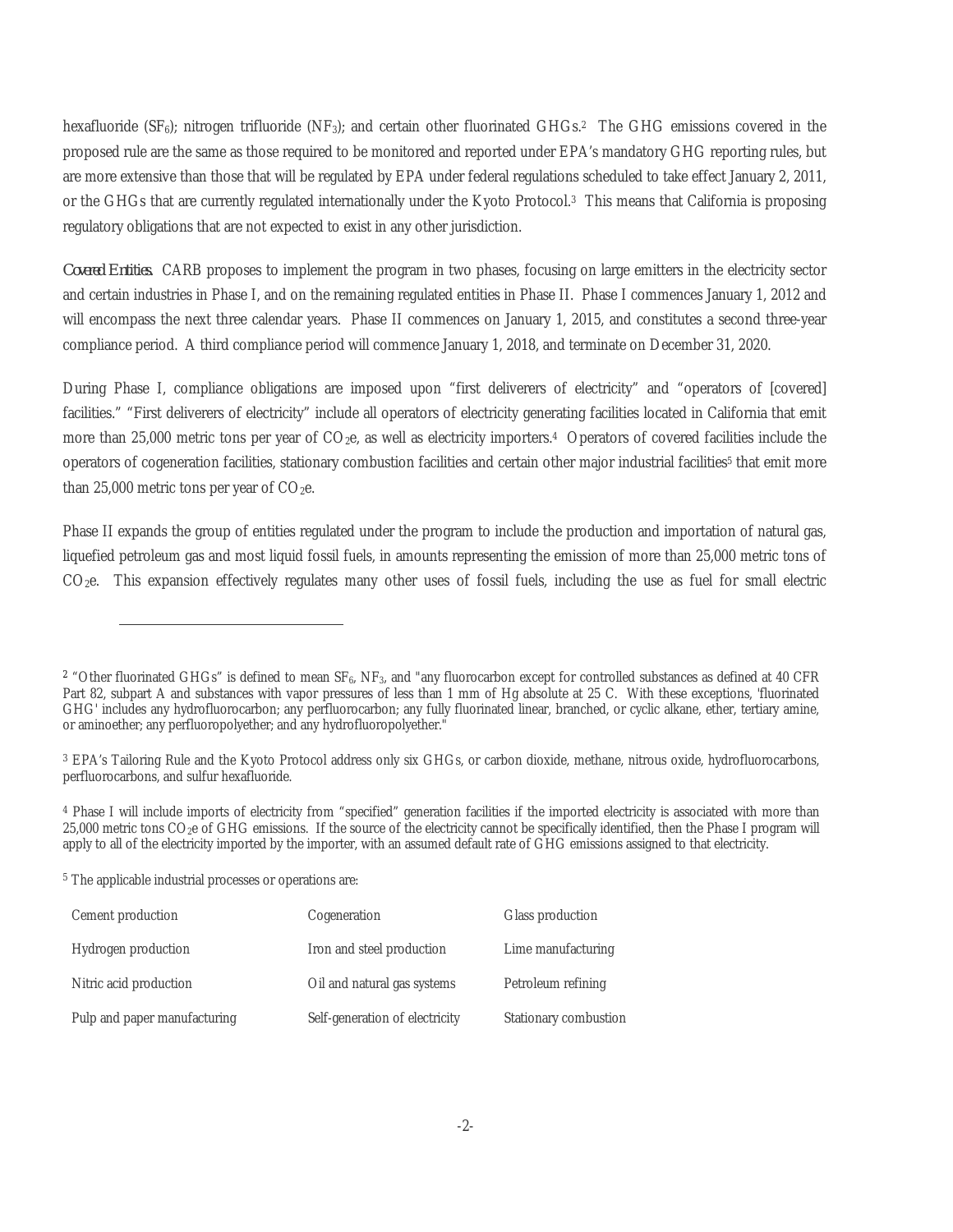hexafluoride (SF<sub>6</sub>); nitrogen trifluoride (NF<sub>3</sub>); and certain other fluorinated GHGs.<sup>2</sup> The GHG emissions covered in the proposed rule are the same as those required to be monitored and reported under EPA's mandatory GHG reporting rules, but are more extensive than those that will be regulated by EPA under federal regulations scheduled to take effect January 2, 2011, or the GHGs that are currently regulated internationally under the Kyoto Protocol.<sup>3</sup> This means that California is proposing regulatory obligations that are not expected to exist in any other jurisdiction.

*Covered Entities.* CARB proposes to implement the program in two phases, focusing on large emitters in the electricity sector and certain industries in Phase I, and on the remaining regulated entities in Phase II. Phase I commences January 1, 2012 and will encompass the next three calendar years. Phase II commences on January 1, 2015, and constitutes a second three-year compliance period. A third compliance period will commence January 1, 2018, and terminate on December 31, 2020.

During Phase I, compliance obligations are imposed upon "first deliverers of electricity" and "operators of [covered] facilities." "First deliverers of electricity" include all operators of electricity generating facilities located in California that emit more than 25,000 metric tons per year of  $CO<sub>2</sub>e$ , as well as electricity importers.<sup>4</sup> Operators of covered facilities include the operators of cogeneration facilities, stationary combustion facilities and certain other major industrial facilities<sup>5</sup> that emit more than 25,000 metric tons per year of  $CO<sub>2</sub>e$ .

Phase II expands the group of entities regulated under the program to include the production and importation of natural gas, liquefied petroleum gas and most liquid fossil fuels, in amounts representing the emission of more than 25,000 metric tons of  $CO<sub>2</sub>e$ . This expansion effectively regulates many other uses of fossil fuels, including the use as fuel for small electric

<sup>5</sup> The applicable industrial processes or operations are:

| Cement production            | Cogeneration                   | Glass production      |
|------------------------------|--------------------------------|-----------------------|
| Hydrogen production          | Iron and steel production      | Lime manufacturing    |
| Nitric acid production       | Oil and natural gas systems    | Petroleum refining    |
| Pulp and paper manufacturing | Self-generation of electricity | Stationary combustion |

<sup>&</sup>lt;sup>2</sup> "Other fluorinated GHGs" is defined to mean  $SF_6$ ,  $NF_3$ , and "any fluorocarbon except for controlled substances as defined at 40 CFR Part 82, subpart A and substances with vapor pressures of less than 1 mm of Hg absolute at 25 C. With these exceptions, 'fluorinated GHG' includes any hydrofluorocarbon; any perfluorocarbon; any fully fluorinated linear, branched, or cyclic alkane, ether, tertiary amine, or aminoether; any perfluoropolyether; and any hydrofluoropolyether."

<sup>&</sup>lt;sup>3</sup> EPA's Tailoring Rule and the Kyoto Protocol address only six GHGs, or carbon dioxide, methane, nitrous oxide, hydrofluorocarbons, perfluorocarbons, and sulfur hexafluoride.

<sup>&</sup>lt;sup>4</sup> Phase I will include imports of electricity from "specified" generation facilities if the imported electricity is associated with more than 25,000 metric tons CO<sub>2</sub>e of GHG emissions. If the source of the electricity cannot be specifically identified, then the Phase I program will apply to all of the electricity imported by the importer, with an assumed default rate of GHG emissions assigned to that electricity.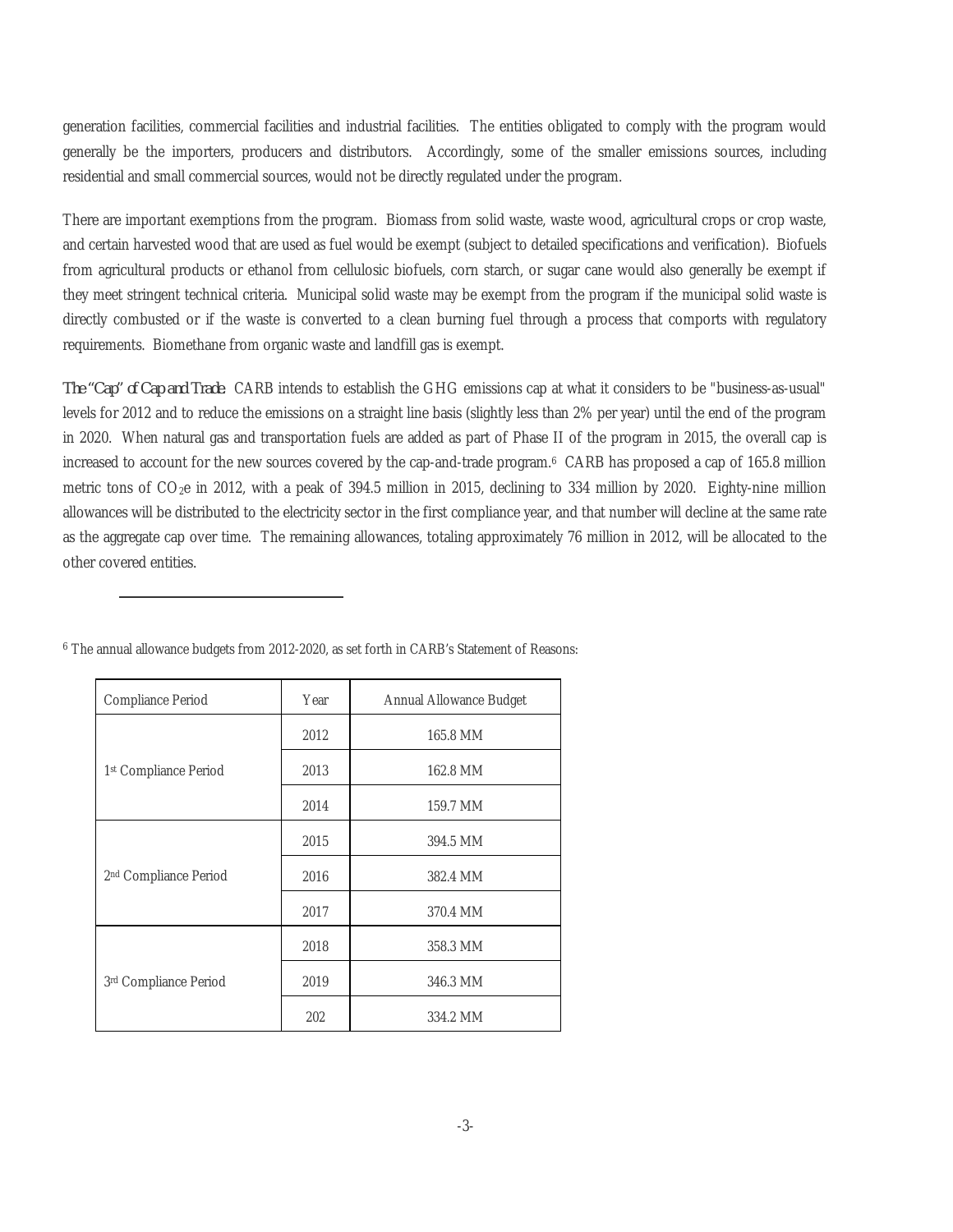generation facilities, commercial facilities and industrial facilities. The entities obligated to comply with the program would generally be the importers, producers and distributors. Accordingly, some of the smaller emissions sources, including residential and small commercial sources, would not be directly regulated under the program.

There are important exemptions from the program. Biomass from solid waste, waste wood, agricultural crops or crop waste, and certain harvested wood that are used as fuel would be exempt (subject to detailed specifications and verification). Biofuels from agricultural products or ethanol from cellulosic biofuels, corn starch, or sugar cane would also generally be exempt if they meet stringent technical criteria. Municipal solid waste may be exempt from the program if the municipal solid waste is directly combusted or if the waste is converted to a clean burning fuel through a process that comports with regulatory requirements. Biomethane from organic waste and landfill gas is exempt.

*The "Cap" of Cap and Trade.* CARB intends to establish the GHG emissions cap at what it considers to be "business-as-usual" levels for 2012 and to reduce the emissions on a straight line basis (slightly less than 2% per year) until the end of the program in 2020. When natural gas and transportation fuels are added as part of Phase II of the program in 2015, the overall cap is increased to account for the new sources covered by the cap-and-trade program.<sup>6</sup> CARB has proposed a cap of 165.8 million metric tons of CO2e in 2012, with a peak of 394.5 million in 2015, declining to 334 million by 2020. Eighty-nine million allowances will be distributed to the electricity sector in the first compliance year, and that number will decline at the same rate as the aggregate cap over time. The remaining allowances, totaling approximately 76 million in 2012, will be allocated to the other covered entities.

| Compliance Period     | Year | Annual Allowance Budget |
|-----------------------|------|-------------------------|
| 1st Compliance Period | 2012 | 165.8 MM                |
|                       | 2013 | 162.8 MM                |
|                       | 2014 | 159.7 MM                |
| 2nd Compliance Period | 2015 | 394.5 MM                |
|                       | 2016 | 382.4 MM                |
|                       | 2017 | 370.4 MM                |
| 3rd Compliance Period | 2018 | 358.3 MM                |
|                       | 2019 | 346.3 MM                |
|                       | 202  | 334.2 MM                |

<sup>6</sup> The annual allowance budgets from 2012-2020, as set forth in CARB's Statement of Reasons: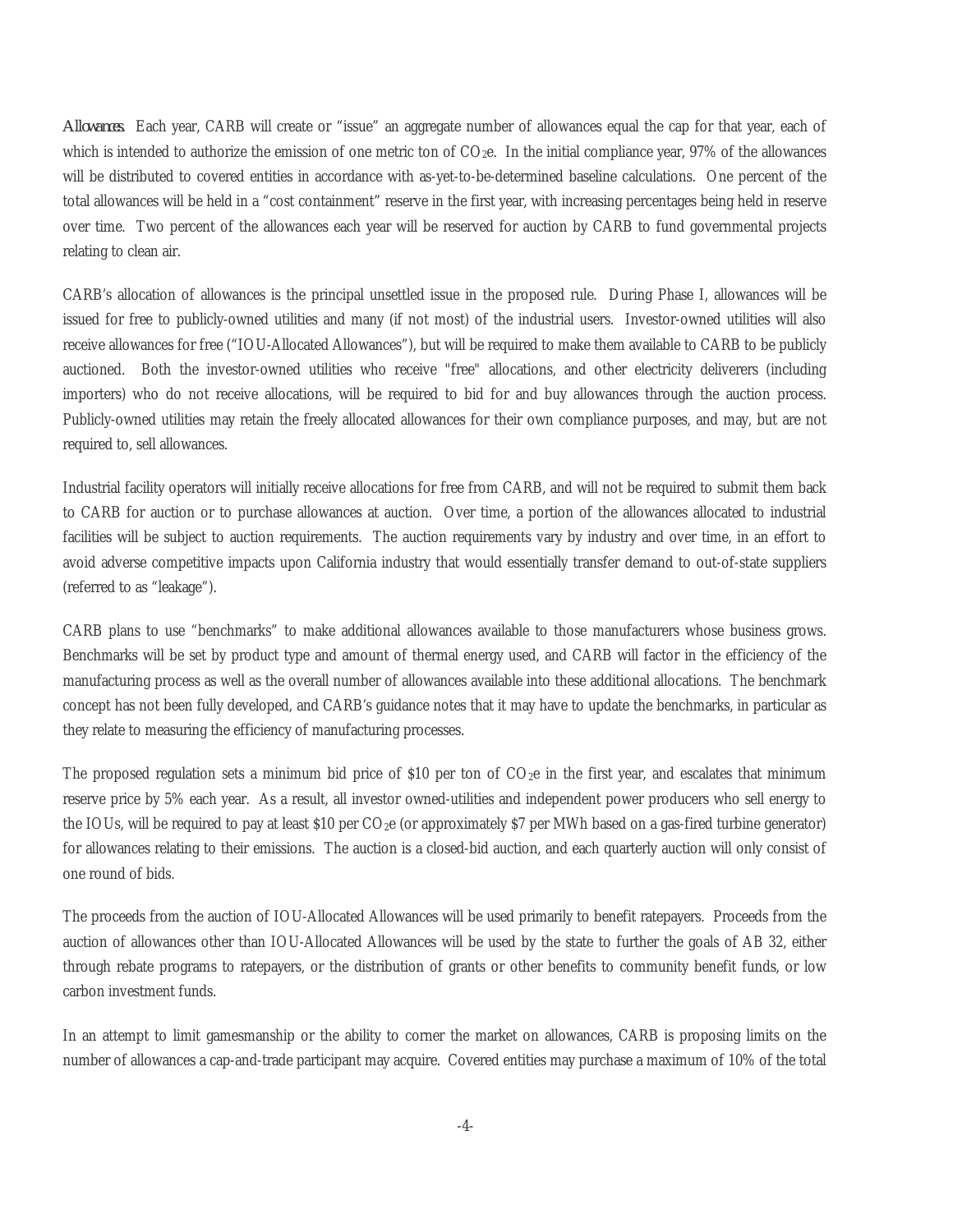*Allowances.* Each year, CARB will create or "issue" an aggregate number of allowances equal the cap for that year, each of which is intended to authorize the emission of one metric ton of  $CO<sub>2</sub>e$ . In the initial compliance year, 97% of the allowances will be distributed to covered entities in accordance with as-yet-to-be-determined baseline calculations. One percent of the total allowances will be held in a "cost containment" reserve in the first year, with increasing percentages being held in reserve over time. Two percent of the allowances each year will be reserved for auction by CARB to fund governmental projects relating to clean air.

CARB's allocation of allowances is the principal unsettled issue in the proposed rule. During Phase I, allowances will be issued for free to publicly-owned utilities and many (if not most) of the industrial users. Investor-owned utilities will also receive allowances for free ("IOU-Allocated Allowances"), but will be required to make them available to CARB to be publicly auctioned. Both the investor-owned utilities who receive "free" allocations, and other electricity deliverers (including importers) who do not receive allocations, will be required to bid for and buy allowances through the auction process. Publicly-owned utilities may retain the freely allocated allowances for their own compliance purposes, and may, but are not required to, sell allowances.

Industrial facility operators will initially receive allocations for free from CARB, and will not be required to submit them back to CARB for auction or to purchase allowances at auction. Over time, a portion of the allowances allocated to industrial facilities will be subject to auction requirements. The auction requirements vary by industry and over time, in an effort to avoid adverse competitive impacts upon California industry that would essentially transfer demand to out-of-state suppliers (referred to as "leakage").

CARB plans to use "benchmarks" to make additional allowances available to those manufacturers whose business grows. Benchmarks will be set by product type and amount of thermal energy used, and CARB will factor in the efficiency of the manufacturing process as well as the overall number of allowances available into these additional allocations. The benchmark concept has not been fully developed, and CARB's guidance notes that it may have to update the benchmarks, in particular as they relate to measuring the efficiency of manufacturing processes.

The proposed regulation sets a minimum bid price of \$10 per ton of  $CO<sub>2</sub>e$  in the first year, and escalates that minimum reserve price by 5% each year. As a result, all investor owned-utilities and independent power producers who sell energy to the IOUs, will be required to pay at least \$10 per  $CO<sub>2</sub>e$  (or approximately \$7 per MWh based on a gas-fired turbine generator) for allowances relating to their emissions. The auction is a closed-bid auction, and each quarterly auction will only consist of one round of bids.

The proceeds from the auction of IOU-Allocated Allowances will be used primarily to benefit ratepayers. Proceeds from the auction of allowances other than IOU-Allocated Allowances will be used by the state to further the goals of AB 32, either through rebate programs to ratepayers, or the distribution of grants or other benefits to community benefit funds, or low carbon investment funds.

In an attempt to limit gamesmanship or the ability to corner the market on allowances, CARB is proposing limits on the number of allowances a cap-and-trade participant may acquire. Covered entities may purchase a maximum of 10% of the total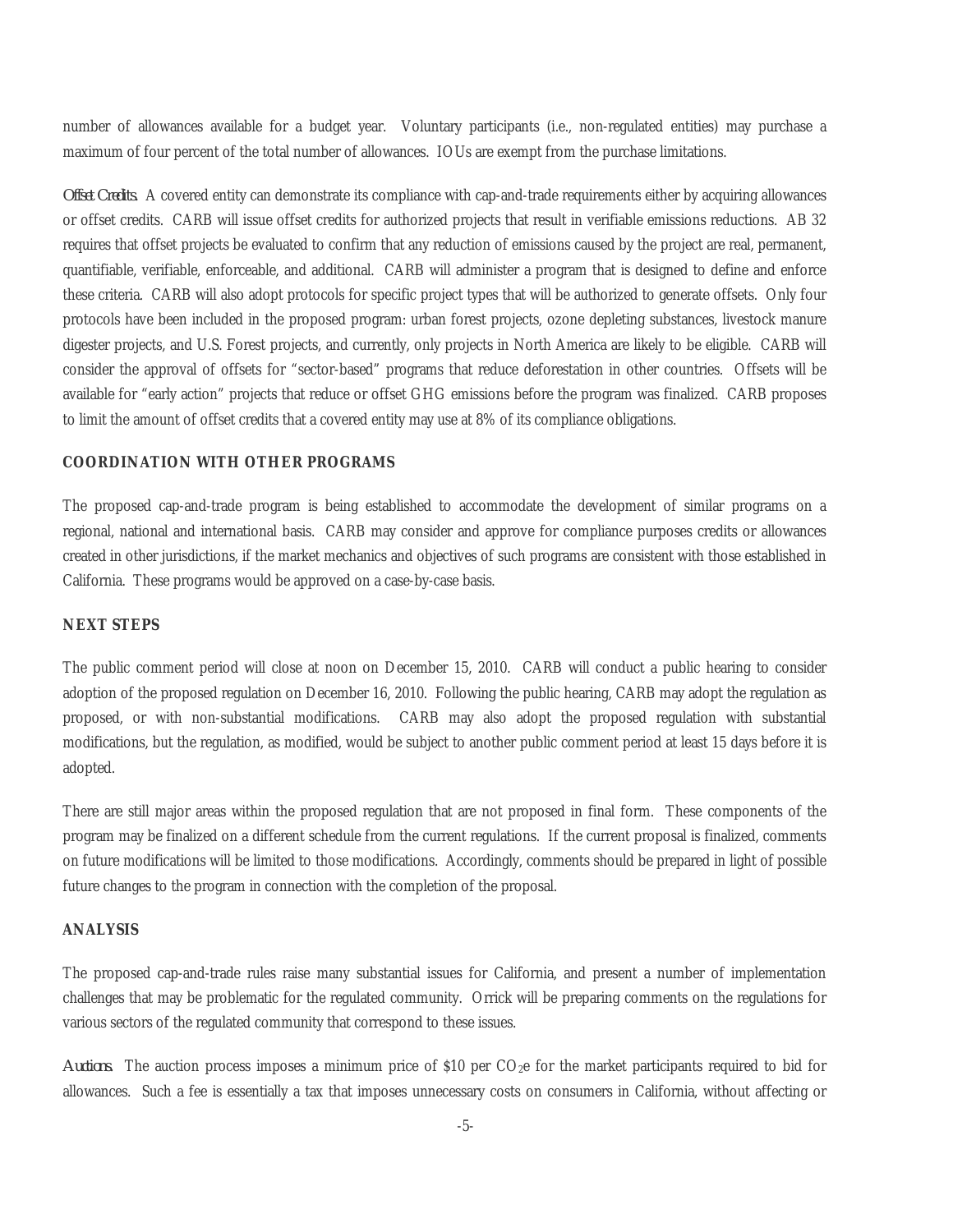number of allowances available for a budget year. Voluntary participants (i.e., non-regulated entities) may purchase a maximum of four percent of the total number of allowances. IOUs are exempt from the purchase limitations.

*Offset Credits.* A covered entity can demonstrate its compliance with cap-and-trade requirements either by acquiring allowances or offset credits. CARB will issue offset credits for authorized projects that result in verifiable emissions reductions. AB 32 requires that offset projects be evaluated to confirm that any reduction of emissions caused by the project are real, permanent, quantifiable, verifiable, enforceable, and additional. CARB will administer a program that is designed to define and enforce these criteria. CARB will also adopt protocols for specific project types that will be authorized to generate offsets. Only four protocols have been included in the proposed program: urban forest projects, ozone depleting substances, livestock manure digester projects, and U.S. Forest projects, and currently, only projects in North America are likely to be eligible. CARB will consider the approval of offsets for "sector-based" programs that reduce deforestation in other countries. Offsets will be available for "early action" projects that reduce or offset GHG emissions before the program was finalized. CARB proposes to limit the amount of offset credits that a covered entity may use at 8% of its compliance obligations.

### **COORDINATION WITH OTHER PROGRAMS**

The proposed cap-and-trade program is being established to accommodate the development of similar programs on a regional, national and international basis. CARB may consider and approve for compliance purposes credits or allowances created in other jurisdictions, if the market mechanics and objectives of such programs are consistent with those established in California. These programs would be approved on a case-by-case basis.

#### **NEXT STEPS**

The public comment period will close at noon on December 15, 2010. CARB will conduct a public hearing to consider adoption of the proposed regulation on December 16, 2010. Following the public hearing, CARB may adopt the regulation as proposed, or with non-substantial modifications. CARB may also adopt the proposed regulation with substantial modifications, but the regulation, as modified, would be subject to another public comment period at least 15 days before it is adopted.

There are still major areas within the proposed regulation that are not proposed in final form. These components of the program may be finalized on a different schedule from the current regulations. If the current proposal is finalized, comments on future modifications will be limited to those modifications. Accordingly, comments should be prepared in light of possible future changes to the program in connection with the completion of the proposal.

#### **ANALYSIS**

The proposed cap-and-trade rules raise many substantial issues for California, and present a number of implementation challenges that may be problematic for the regulated community. Orrick will be preparing comments on the regulations for various sectors of the regulated community that correspond to these issues.

*Auctions.* The auction process imposes a minimum price of \$10 per CO2e for the market participants required to bid for allowances. Such a fee is essentially a tax that imposes unnecessary costs on consumers in California, without affecting or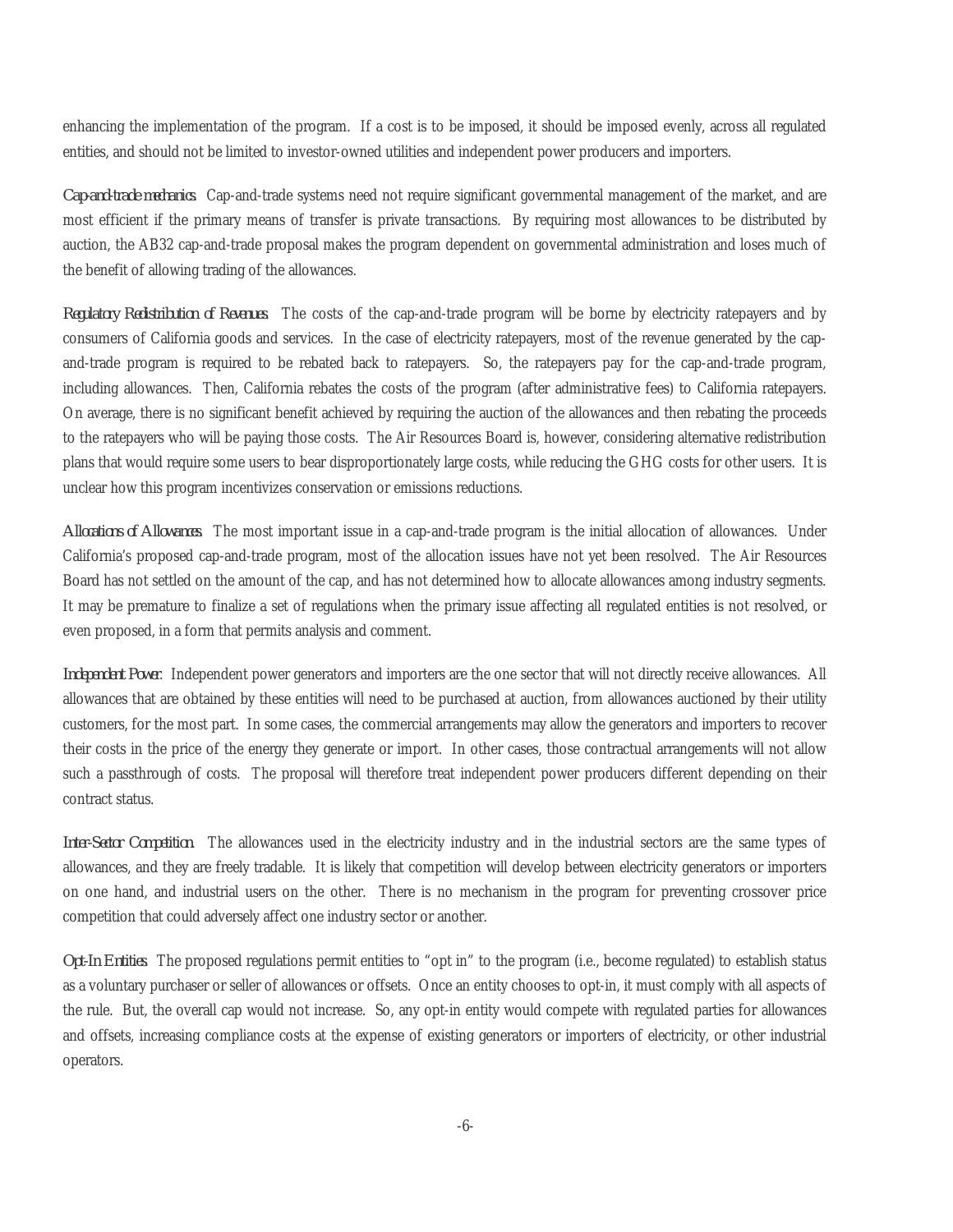enhancing the implementation of the program. If a cost is to be imposed, it should be imposed evenly, across all regulated entities, and should not be limited to investor-owned utilities and independent power producers and importers.

*Cap-and-trade mechanics*. Cap-and-trade systems need not require significant governmental management of the market, and are most efficient if the primary means of transfer is private transactions. By requiring most allowances to be distributed by auction, the AB32 cap-and-trade proposal makes the program dependent on governmental administration and loses much of the benefit of allowing trading of the allowances.

*Regulatory Redistribution of Revenues*. The costs of the cap-and-trade program will be borne by electricity ratepayers and by consumers of California goods and services. In the case of electricity ratepayers, most of the revenue generated by the capand-trade program is required to be rebated back to ratepayers. So, the ratepayers pay for the cap-and-trade program, including allowances. Then, California rebates the costs of the program (after administrative fees) to California ratepayers. On average, there is no significant benefit achieved by requiring the auction of the allowances and then rebating the proceeds to the ratepayers who will be paying those costs. The Air Resources Board is, however, considering alternative redistribution plans that would require some users to bear disproportionately large costs, while reducing the GHG costs for other users. It is unclear how this program incentivizes conservation or emissions reductions.

*Allocations of Allowances*. The most important issue in a cap-and-trade program is the initial allocation of allowances. Under California's proposed cap-and-trade program, most of the allocation issues have not yet been resolved. The Air Resources Board has not settled on the amount of the cap, and has not determined how to allocate allowances among industry segments. It may be premature to finalize a set of regulations when the primary issue affecting all regulated entities is not resolved, or even proposed, in a form that permits analysis and comment.

*Independent Power*. Independent power generators and importers are the one sector that will not directly receive allowances. All allowances that are obtained by these entities will need to be purchased at auction, from allowances auctioned by their utility customers, for the most part. In some cases, the commercial arrangements may allow the generators and importers to recover their costs in the price of the energy they generate or import. In other cases, those contractual arrangements will not allow such a passthrough of costs. The proposal will therefore treat independent power producers different depending on their contract status.

*Inter-Sector Competition*. The allowances used in the electricity industry and in the industrial sectors are the same types of allowances, and they are freely tradable. It is likely that competition will develop between electricity generators or importers on one hand, and industrial users on the other. There is no mechanism in the program for preventing crossover price competition that could adversely affect one industry sector or another.

*Opt-In Entities*. The proposed regulations permit entities to "opt in" to the program (i.e., become regulated) to establish status as a voluntary purchaser or seller of allowances or offsets. Once an entity chooses to opt-in, it must comply with all aspects of the rule. But, the overall cap would not increase. So, any opt-in entity would compete with regulated parties for allowances and offsets, increasing compliance costs at the expense of existing generators or importers of electricity, or other industrial operators.